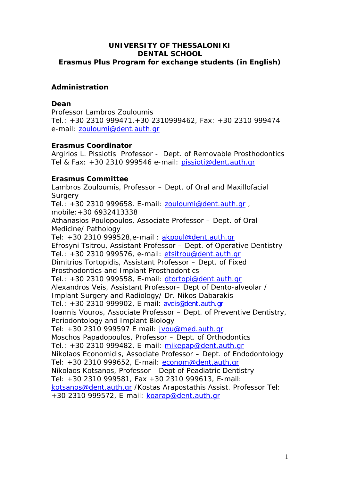# **UNIVERSITY OF THESSALONIKI DENTAL SCHOOL Erasmus Plus Program for exchange students (in English)**

# **Administration**

### **Dean**

Professor Lambros Zouloumis Tel.: +30 2310 999471,+30 2310999462, Fax: +30 2310 999474 e-mail: [zouloumi@dent.auth.gr](mailto:karab@dent.auth.gr)

# **Erasmus Coordinator**

Argirios L. Pissiotis Professor - Dept. of Removable Prosthodontics Tel & Fax: +30 2310 999546 e-mail: [pissioti@dent.auth.gr](mailto:pissioti@dent.auth.gr) 

# **Erasmus Committee**

Lambros Zouloumis, Professor – Dept. of Oral and Maxillofacial **Surgery** Tel.: +30 2310 999658. E-mail: [zouloumi@dent.auth.gr](mailto:karab@dent.auth.gr) , mobile:+30 6932413338 Athanasios Poulopoulos, Associate Professor – Dept. of Oral Medicine/ Pathology Tel: +30 2310 999528, e-mail : [akpoul@dent.auth.gr](mailto:akpoul@dent.auth.gr) Efrosyni Tsitrou, Assistant Professor – Dept. of Operative Dentistry Tel.: +30 2310 999576, e-mail: [etsitrou@dent.auth.gr](mailto:etsitrou@dent.auth.gr)  Dimitrios Tortopidis, Assistant Professor – Dept. of Fixed Prosthodontics and Implant Prosthodontics Tel.: +30 2310 999558, E-mail: [dtortopi@dent.auth.gr](mailto:dtortopi@dent.auth.gr) Alexandros Veis, Assistant Professor– Dept of Dento-alveolar / Implant Surgery and Radiology/ Dr. Nikos Dabarakis Tel.: +30 2310 999902, E mail: [aveis@dent.auth.gr](mailto:aveis@dent.auth.gr) Ioannis Vouros, Associate Professor – Dept. of Preventive Dentistry, Periodontology and Implant Biology Tel: +30 2310 999597 E mail: [jvou@med.auth.gr](mailto:jvou@med.auth.gr) Moschos Papadopoulos, Professor – Dept. of Orthodontics Tel.: +30 2310 999482, E-mail: [mikepap@dent.auth.gr](mailto:mikepap@dent.auth.gr) Nikolaos Economidis, Associate Professor – Dept. of Endodontology Tel: +30 2310 999652, E-mail: [econom@dent.auth.gr](mailto:econom@dent.auth.gr)  Nikolaos Kotsanos, Professor - Dept of Peadiatric Dentistry Tel: +30 2310 999581, Fax +30 2310 999613, E-mail: [kotsanos@dent.auth.gr](mailto:kotsanos@dent.auth.gr) /Kostas Arapostathis Assist. Professor Tel: +30 2310 999572, E-mail: [koarap@dent.auth.gr](mailto:koarap@dent.auth.gr)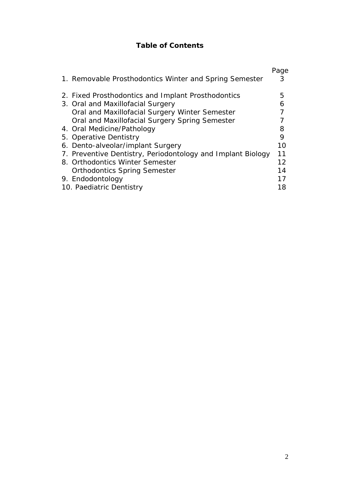# **Table of Contents**

|                          |                                                             | Page |
|--------------------------|-------------------------------------------------------------|------|
|                          | 1. Removable Prosthodontics Winter and Spring Semester      | 3    |
|                          |                                                             |      |
|                          | 2. Fixed Prosthodontics and Implant Prosthodontics          | 5    |
|                          | 3. Oral and Maxillofacial Surgery                           | 6    |
|                          | Oral and Maxillofacial Surgery Winter Semester              |      |
|                          | Oral and Maxillofacial Surgery Spring Semester              |      |
|                          | 4. Oral Medicine/Pathology                                  | 8    |
|                          | 5. Operative Dentistry                                      | 9    |
|                          | 6. Dento-alveolar/implant Surgery                           | 10   |
|                          | 7. Preventive Dentistry, Periodontology and Implant Biology | 11   |
|                          | 8. Orthodontics Winter Semester                             | 12   |
|                          | <b>Orthodontics Spring Semester</b>                         | 14   |
|                          | 9. Endodontology                                            | 17   |
| 10. Paediatric Dentistry |                                                             | 18   |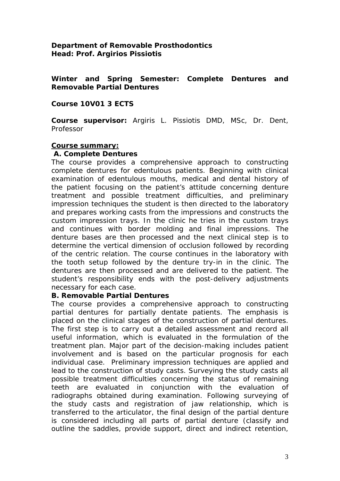## **Department of Removable Prosthodontics Head: Prof. Argirios Pissiotis**

**Winter and Spring Semester: Complete Dentures and Removable Partial Dentures** 

## **Course 10V01 3 ECTS**

**Course supervisor:** Argiris L. Pissiotis DMD, MSc, Dr. Dent, Professor

#### **Course summary:**

#### **A. Complete Dentures**

The course provides a comprehensive approach to constructing complete dentures for edentulous patients. Beginning with clinical examination of edentulous mouths, medical and dental history of the patient focusing on the patient's attitude concerning denture treatment and possible treatment difficulties, and preliminary impression techniques the student is then directed to the laboratory and prepares working casts from the impressions and constructs the custom impression trays. In the clinic he tries in the custom trays and continues with border molding and final impressions. The denture bases are then processed and the next clinical step is to determine the vertical dimension of occlusion followed by recording of the centric relation. The course continues in the laboratory with the tooth setup followed by the denture try-in in the clinic. The dentures are then processed and are delivered to the patient. The student's responsibility ends with the post-delivery adjustments necessary for each case.

#### **B. Removable Partial Dentures**

The course provides a comprehensive approach to constructing partial dentures for partially dentate patients. The emphasis is placed on the clinical stages of the construction of partial dentures. The first step is to carry out a detailed assessment and record all useful information, which is evaluated in the formulation of the treatment plan. Major part of the decision-making includes patient involvement and is based on the particular prognosis for each individual case. Preliminary impression techniques are applied and lead to the construction of study casts. Surveying the study casts all possible treatment difficulties concerning the status of remaining teeth are evaluated in conjunction with the evaluation of radiographs obtained during examination. Following surveying of the study casts and registration of jaw relationship, which is transferred to the articulator, the final design of the partial denture is considered including all parts of partial denture (classify and outline the saddles, provide support, direct and indirect retention,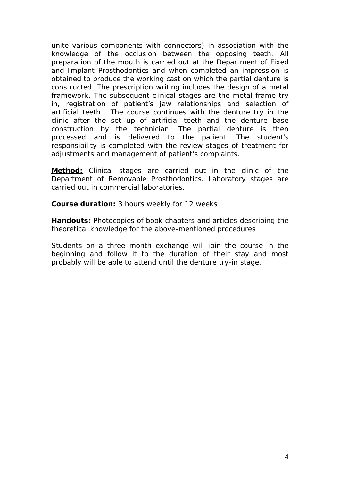unite various components with connectors) in association with the knowledge of the occlusion between the opposing teeth. All preparation of the mouth is carried out at the Department of Fixed and Implant Prosthodontics and when completed an impression is obtained to produce the working cast on which the partial denture is constructed. The prescription writing includes the design of a metal framework. The subsequent clinical stages are the metal frame try in, registration of patient's jaw relationships and selection of artificial teeth. The course continues with the denture try in the clinic after the set up of artificial teeth and the denture base construction by the technician. The partial denture is then processed and is delivered to the patient. The student's responsibility is completed with the review stages of treatment for adjustments and management of patient's complaints.

**Method:** Clinical stages are carried out in the clinic of the Department of Removable Prosthodontics. Laboratory stages are carried out in commercial laboratories.

**Course duration:** 3 hours weekly for 12 weeks

**Handouts:** Photocopies of book chapters and articles describing the theoretical knowledge for the above-mentioned procedures

Students on a three month exchange will join the course in the beginning and follow it to the duration of their stay and most probably will be able to attend until the denture try-in stage.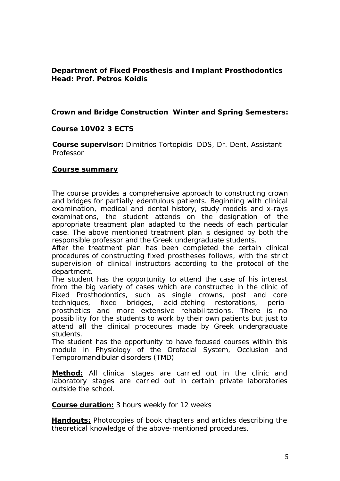# **Department of Fixed Prosthesis and Implant Prosthodontics Head: Prof. Petros Koidis**

**Crown and Bridge Construction Winter and Spring Semesters:**

### **Course 10V02 3 ECTS**

**Course supervisor:** Dimitrios Tortopidis DDS, Dr. Dent, Assistant Professor

#### **Course summary**

The course provides a comprehensive approach to constructing crown and bridges for partially edentulous patients. Beginning with clinical examination, medical and dental history, study models and x-rays examinations, the student attends on the designation of the appropriate treatment plan adapted to the needs of each particular case. The above mentioned treatment plan is designed by both the responsible professor and the Greek undergraduate students.

After the treatment plan has been completed the certain clinical procedures of constructing fixed prostheses follows, with the strict supervision of clinical instructors according to the protocol of the department.

The student has the opportunity to attend the case of his interest from the big variety of cases which are constructed in the clinic of Fixed Prosthodontics, such as single crowns, post and core techniques, fixed bridges, acid-etching restorations, perioprosthetics and more extensive rehabilitations. There is no possibility for the students to work by their own patients but just to attend all the clinical procedures made by Greek undergraduate students.

The student has the opportunity to have focused courses within this module in Physiology of the Orofacial System, Occlusion and Temporomandibular disorders (TMD)

**Method:** All clinical stages are carried out in the clinic and laboratory stages are carried out in certain private laboratories outside the school.

**Course duration:** 3 hours weekly for 12 weeks

**Handouts:** Photocopies of book chapters and articles describing the theoretical knowledge of the above-mentioned procedures.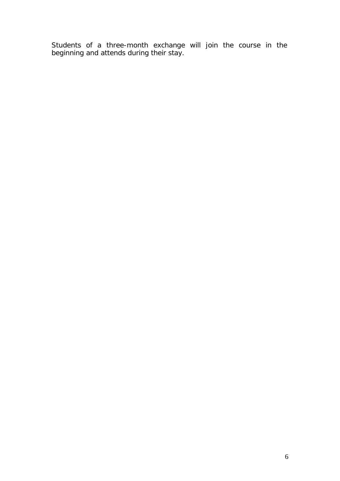Students of a three-month exchange will join the course in the beginning and attends during their stay.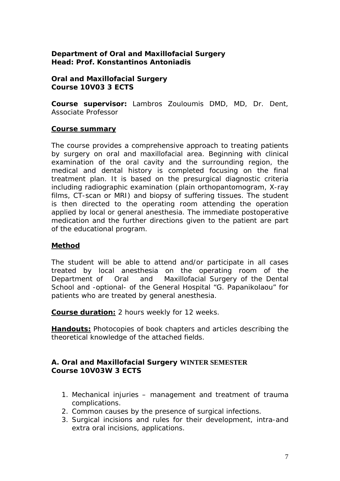# **Department of Oral and Maxillofacial Surgery Head: Prof. Konstantinos Antoniadis**

#### **Oral and Maxillofacial Surgery Course 10V03 3 ECTS**

**Course supervisor:** Lambros Zouloumis DMD, MD, Dr. Dent, Associate Professor

# **Course summary**

The course provides a comprehensive approach to treating patients by surgery on oral and maxillofacial area. Beginning with clinical examination of the oral cavity and the surrounding region, the medical and dental history is completed focusing on the final treatment plan. It is based on the presurgical diagnostic criteria including radiographic examination (plain orthopantomogram, X-ray films, CT-scan or MRI) and biopsy of suffering tissues. The student is then directed to the operating room attending the operation applied by local or general anesthesia. The immediate postoperative medication and the further directions given to the patient are part of the educational program.

# **Method**

The student will be able to attend and/or participate in all cases treated by local anesthesia on the operating room of the Department of Oral and Maxillofacial Surgery of the Dental School and -optional- of the General Hospital "G. Papanikolaou" for patients who are treated by general anesthesia.

**Course duration:** 2 hours weekly for 12 weeks.

**Handouts:** Photocopies of book chapters and articles describing the theoretical knowledge of the attached fields.

# **A. Oral and Maxillofacial Surgery WINTER SEMESTER Course 10V03W 3 ECTS**

- 1. Mechanical injuries management and treatment of trauma complications.
- 2. Common causes by the presence of surgical infections.
- 3. Surgical incisions and rules for their development, intra-and extra oral incisions, applications.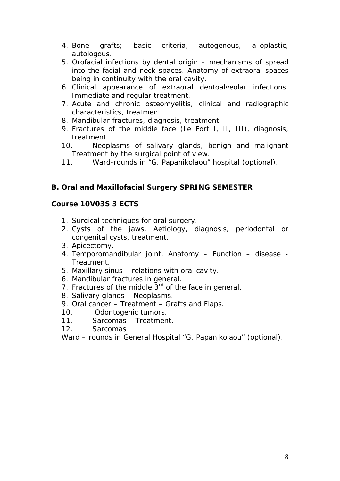- 4. Bone grafts; basic criteria, autogenous, alloplastic, autologous.
- 5. Orofacial infections by dental origin mechanisms of spread into the facial and neck spaces. Anatomy of extraoral spaces being in continuity with the oral cavity.
- 6. Clinical appearance of extraoral dentoalveolar infections. Immediate and regular treatment.
- 7. Acute and chronic osteomyelitis, clinical and radiographic characteristics, treatment.
- 8. Mandibular fractures, diagnosis, treatment.
- 9. Fractures of the middle face (Le Fort I, II, III), diagnosis, treatment.
- 10. Neoplasms of salivary glands, benign and malignant Treatment by the surgical point of view.
- 11. Ward-rounds in "G. Papanikolaou" hospital (optional).

# **B. Oral and Maxillofacial Surgery SPRING SEMESTER**

# **Course 10V03S 3 ECTS**

- 1. Surgical techniques for oral surgery.
- 2. Cysts of the jaws. Aetiology, diagnosis, periodontal or congenital cysts, treatment.
- 3. Apicectomy.
- 4. Temporomandibular joint. Anatomy Function disease Treatment.
- 5. Maxillary sinus relations with oral cavity.
- 6. Mandibular fractures in general.
- 7. Fractures of the middle  $3<sup>rd</sup>$  of the face in general.
- 8. Salivary glands Neoplasms.
- 9. Oral cancer Treatment Grafts and Flaps.
- 10. Odontogenic tumors.
- 11. Sarcomas Treatment.
- 12. Sarcomas

Ward – rounds in General Hospital "G. Papanikolaou" (optional).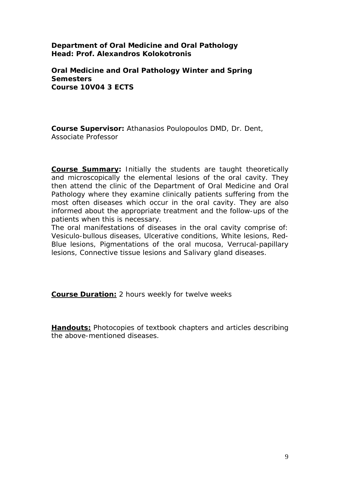**Department of Oral Medicine and Oral Pathology Head: Prof. Alexandros Kolokotronis** 

**Oral Medicine and Oral Pathology Winter and Spring Semesters Course 10V04 3 ECTS** 

**Course Supervisor:** Athanasios Poulopoulos DMD, Dr. Dent, Associate Professor

**Course Summary:** Initially the students are taught theoretically and microscopically the elemental lesions of the oral cavity. They then attend the clinic of the Department of Oral Medicine and Oral Pathology where they examine clinically patients suffering from the most often diseases which occur in the oral cavity. They are also informed about the appropriate treatment and the follow-ups of the patients when this is necessary.

The oral manifestations of diseases in the oral cavity comprise of: Vesiculo-bullous diseases, Ulcerative conditions, White lesions, Red-Blue lesions, Pigmentations of the oral mucosa, Verrucal-papillary lesions, Connective tissue lesions and Salivary gland diseases.

**Course Duration:** 2 hours weekly for twelve weeks

**Handouts:** Photocopies of textbook chapters and articles describing the above-mentioned diseases.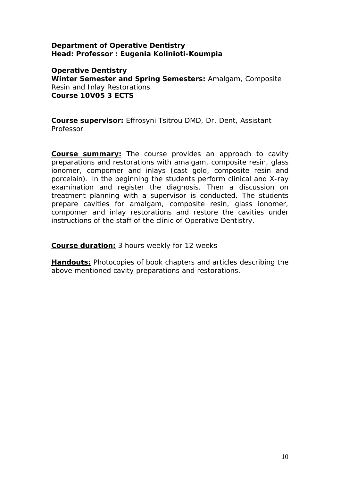## **Department of Operative Dentistry Head: Professor : Eugenia Kolinioti-Koumpia**

# **Operative Dentistry**

**Winter Semester and Spring Semesters:** Amalgam, Composite Resin and Inlay Restorations **Course 10V05 3 ECTS** 

**Course supervisor:** Effrosyni Tsitrou DMD, Dr. Dent, Assistant Professor

**Course summary:** The course provides an approach to cavity preparations and restorations with amalgam, composite resin, glass ionomer, compomer and inlays (cast gold, composite resin and porcelain). In the beginning the students perform clinical and X-ray examination and register the diagnosis. Then a discussion on treatment planning with a supervisor is conducted. The students prepare cavities for amalgam, composite resin, glass ionomer, compomer and inlay restorations and restore the cavities under instructions of the staff of the clinic of Operative Dentistry.

**Course duration:** 3 hours weekly for 12 weeks

**Handouts:** Photocopies of book chapters and articles describing the above mentioned cavity preparations and restorations.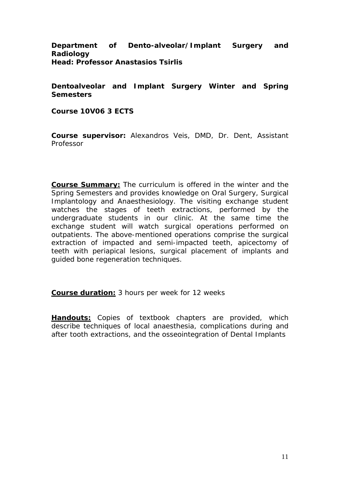## **Department of Dento-alveolar/Implant Surgery and Radiology Head: Professor Anastasios Tsirlis**

# **Dentoalveolar and Implant Surgery Winter and Spring Semesters**

**Course 10V06 3 ECTS** 

**Course supervisor:** Alexandros Veis, DMD, Dr. Dent, Assistant Professor

**Course Summary:** The curriculum is offered in the winter and the Spring Semesters and provides knowledge on Oral Surgery, Surgical Implantology and Anaesthesiology. The visiting exchange student watches the stages of teeth extractions, performed by the undergraduate students in our clinic. At the same time the exchange student will watch surgical operations performed on outpatients. The above-mentioned operations comprise the surgical extraction of impacted and semi-impacted teeth, apicectomy of teeth with periapical lesions, surgical placement of implants and guided bone regeneration techniques.

**Course duration:** 3 hours per week for 12 weeks

**Handouts:** Copies of textbook chapters are provided, which describe techniques of local anaesthesia, complications during and after tooth extractions, and the osseointegration of Dental Implants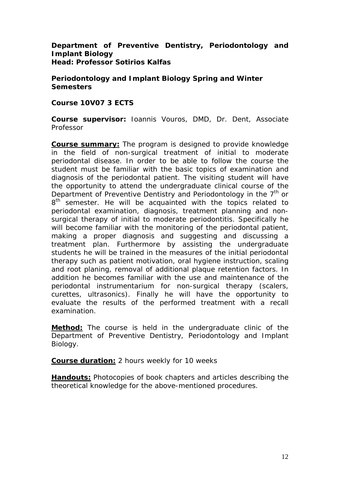## **Department of Preventive Dentistry, Periodontology and Implant Biology Head: Professor Sotirios Kalfas**

**Periodontology and Implant Biology Spring and Winter Semesters** 

#### **Course 10V07 3 ECTS**

**Course supervisor:** Ioannis Vouros, DMD, Dr. Dent, Associate Professor

**Course summary:** The program is designed to provide knowledge in the field of non-surgical treatment of initial to moderate periodontal disease. In order to be able to follow the course the student must be familiar with the basic topics of examination and diagnosis of the periodontal patient. The visiting student will have the opportunity to attend the undergraduate clinical course of the Department of Preventive Dentistry and Periodontology in the  $7<sup>th</sup>$  or 8<sup>th</sup> semester. He will be acquainted with the topics related to periodontal examination, diagnosis, treatment planning and nonsurgical therapy of initial to moderate periodontitis. Specifically he will become familiar with the monitoring of the periodontal patient, making a proper diagnosis and suggesting and discussing a treatment plan. Furthermore by assisting the undergraduate students he will be trained in the measures of the initial periodontal therapy such as patient motivation, oral hygiene instruction, scaling and root planing, removal of additional plaque retention factors. In addition he becomes familiar with the use and maintenance of the periodontal instrumentarium for non-surgical therapy (scalers, curettes, ultrasonics). Finally he will have the opportunity to evaluate the results of the performed treatment with a recall examination.

**Method:** The course is held in the undergraduate clinic of the Department of Preventive Dentistry, Periodontology and Implant Biology.

**Course duration:** 2 hours weekly for 10 weeks

**Handouts:** Photocopies of book chapters and articles describing the theoretical knowledge for the above-mentioned procedures.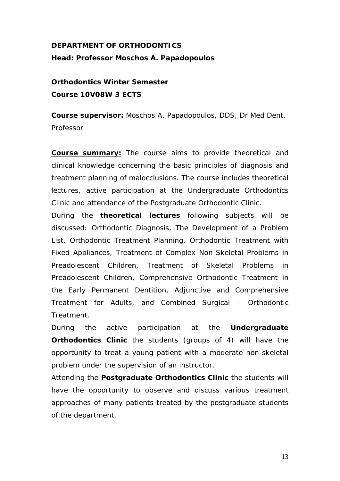# **DEPARTMENT OF ORTHODONTICS Head: Professor Moschos A. Papadopoulos**

**Orthodontics Winter Semester Course 10V08W 3 ECTS** 

**Course supervisor:** Moschos A. Papadopoulos, DDS, Dr Med Dent, Professor

**Course summary:** The course aims to provide theoretical and clinical knowledge concerning the basic principles of diagnosis and treatment planning of malocclusions. The course includes theoretical lectures, active participation at the Undergraduate Orthodontics Clinic and attendance of the Postgraduate Orthodontic Clinic.

During the *theoretical lectures* following subjects will be discussed: Orthodontic Diagnosis, The Development of a Problem List, Orthodontic Treatment Planning, Orthodontic Treatment with Fixed Appliances, Treatment of Complex Non-Skeletal Problems in Preadolescent Children, Treatment of Skeletal Problems in Preadolescent Children, Comprehensive Orthodontic Treatment in the Early Permanent Dentition, Adjunctive and Comprehensive Treatment for Adults, and Combined Surgical – Orthodontic Treatment.

During the active participation at the *Undergraduate*  **Orthodontics Clinic** the students (groups of 4) will have the opportunity to treat a young patient with a moderate non-skeletal problem under the supervision of an instructor.

Attending the *Postgraduate Orthodontics Clinic* the students will have the opportunity to observe and discuss various treatment approaches of many patients treated by the postgraduate students of the department.

13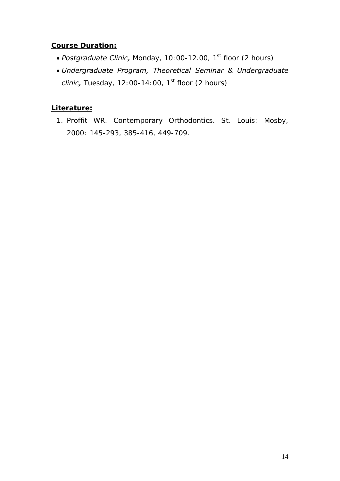# **Course Duration:**

- *Postgraduate Clinic, Monday, 10:00-12.00, 1<sup>st</sup> floor (2 hours)*
- *Undergraduate Program, Theoretical Seminar & Undergraduate clinic*, Tuesday, 12:00-14:00, 1<sup>st</sup> floor (2 hours)

# **Literature:**

1. Proffit WR. Contemporary Orthodontics. St. Louis: Mosby, 2000: 145-293, 385-416, 449-709.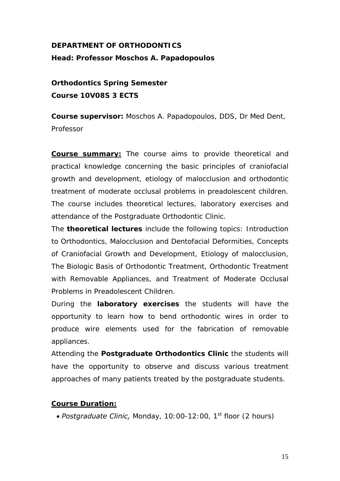# **DEPARTMENT OF ORTHODONTICS Head: Professor Moschos A. Papadopoulos**

**Orthodontics Spring Semester Course 10V08S 3 ECTS** 

**Course supervisor:** Moschos A. Papadopoulos, DDS, Dr Med Dent, Professor

**Course summary:** The course aims to provide theoretical and practical knowledge concerning the basic principles of craniofacial growth and development, etiology of malocclusion and orthodontic treatment of moderate occlusal problems in preadolescent children. The course includes theoretical lectures, laboratory exercises and attendance of the Postgraduate Orthodontic Clinic.

The *theoretical lectures* include the following topics: Introduction to Orthodontics, Malocclusion and Dentofacial Deformities, Concepts of Craniofacial Growth and Development, Etiology of malocclusion, The Biologic Basis of Orthodontic Treatment, Orthodontic Treatment with Removable Appliances, and Treatment of Moderate Occlusal Problems in Preadolescent Children.

During the *laboratory exercises* the students will have the opportunity to learn how to bend orthodontic wires in order to produce wire elements used for the fabrication of removable appliances.

Attending the *Postgraduate Orthodontics Clinic* the students will have the opportunity to observe and discuss various treatment approaches of many patients treated by the postgraduate students.

# **Course Duration:**

• *Postgraduate Clinic, Monday, 10:00-12:00, 1<sup>st</sup> floor (2 hours)*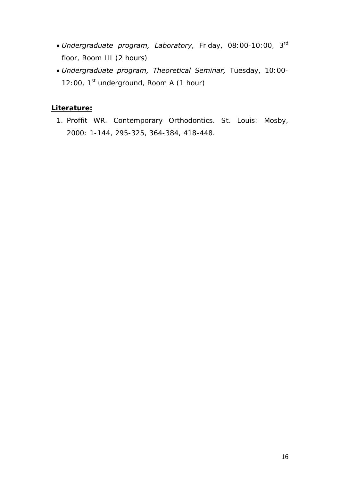- *Undergraduate program, Laboratory,* Friday, 08:00-10:00, 3rd floor, Room III (2 hours)
- *Undergraduate program, Theoretical Seminar,* Tuesday, 10:00- 12:00, 1<sup>st</sup> underground, Room A (1 hour)

# **Literature:**

1. Proffit WR. Contemporary Orthodontics. St. Louis: Mosby, 2000: 1-144, 295-325, 364-384, 418-448.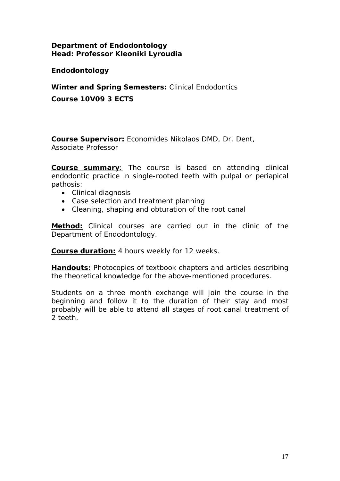# **Department of Endodontology Head: Professor Kleoniki Lyroudia**

**Endodontology** 

**Winter and Spring Semesters:** Clinical Endodontics **Course 10V09 3 ECTS** 

**Course Supervisor:** Economides Nikolaos DMD, Dr. Dent, Associate Professor

**Course summary**: The course is based on attending clinical endodontic practice in single-rooted teeth with pulpal or periapical pathosis:

- Clinical diagnosis
- Case selection and treatment planning
- Cleaning, shaping and obturation of the root canal

**Method:** Clinical courses are carried out in the clinic of the Department of Endodontology.

**Course duration:** 4 hours weekly for 12 weeks.

**Handouts:** Photocopies of textbook chapters and articles describing the theoretical knowledge for the above-mentioned procedures.

Students on a three month exchange will join the course in the beginning and follow it to the duration of their stay and most probably will be able to attend all stages of root canal treatment of 2 teeth.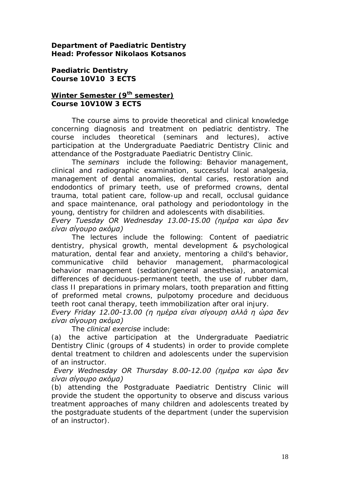**Department of Paediatric Dentistry Head: Professor Nikolaos Kotsanos** 

**Paediatric Dentistry Course 10V10 3 ECTS** 

# **Winter Semester (9th semester) Course 10V10W 3 ECTS**

The course aims to provide theoretical and clinical knowledge concerning diagnosis and treatment on pediatric dentistry. The course includes theoretical (seminars and lectures), active participation at the Undergraduate Paediatric Dentistry Clinic and attendance of the Postgraduate Paediatric Dentistry Clinic.

 The *seminars* include the following: Behavior management, clinical and radiographic examination, successful local analgesia, management of dental anomalies, dental caries, restoration and endodontics of primary teeth, use of preformed crowns, dental trauma, total patient care, follow-up and recall, occlusal guidance and space maintenance, oral pathology and periodontology in the young, dentistry for children and adolescents with disabilities.

*Every Tuesday OR Wednesday 13.00-15.00 (ημέρα και ώρα δεν είναι σίγουρο ακόμα)* 

 The lectures include the following: Content of paediatric dentistry, physical growth, mental development & psychological maturation, dental fear and anxiety, mentoring a child's behavior, communicative child behavior management, pharmacological behavior management (sedation/general anesthesia), anatomical differences of deciduous-permanent teeth, the use of rubber dam, class II preparations in primary molars, tooth preparation and fitting of preformed metal crowns, pulpotomy procedure and deciduous teeth root canal therapy, teeth immobilization after oral injury.

*Every Friday 12.00-13.00 (η ημέρα είναι σίγουρη αλλά η ώρα δεν είναι σίγουρη ακόμα)*

The *clinical exercise* include:

(a) the active participation at the Undergraduate Paediatric Dentistry Clinic (groups of 4 students) in order to provide complete dental treatment to children and adolescents under the supervision of an instructor.

*Every Wednesday OR Thursday 8.00-12.00 (ημέρα και ώρα δεν είναι σίγουρο ακόμα)* 

(b) attending the Postgraduate Paediatric Dentistry Clinic will provide the student the opportunity to observe and discuss various treatment approaches of many children and adolescents treated by the postgraduate students of the department (under the supervision of an instructor).